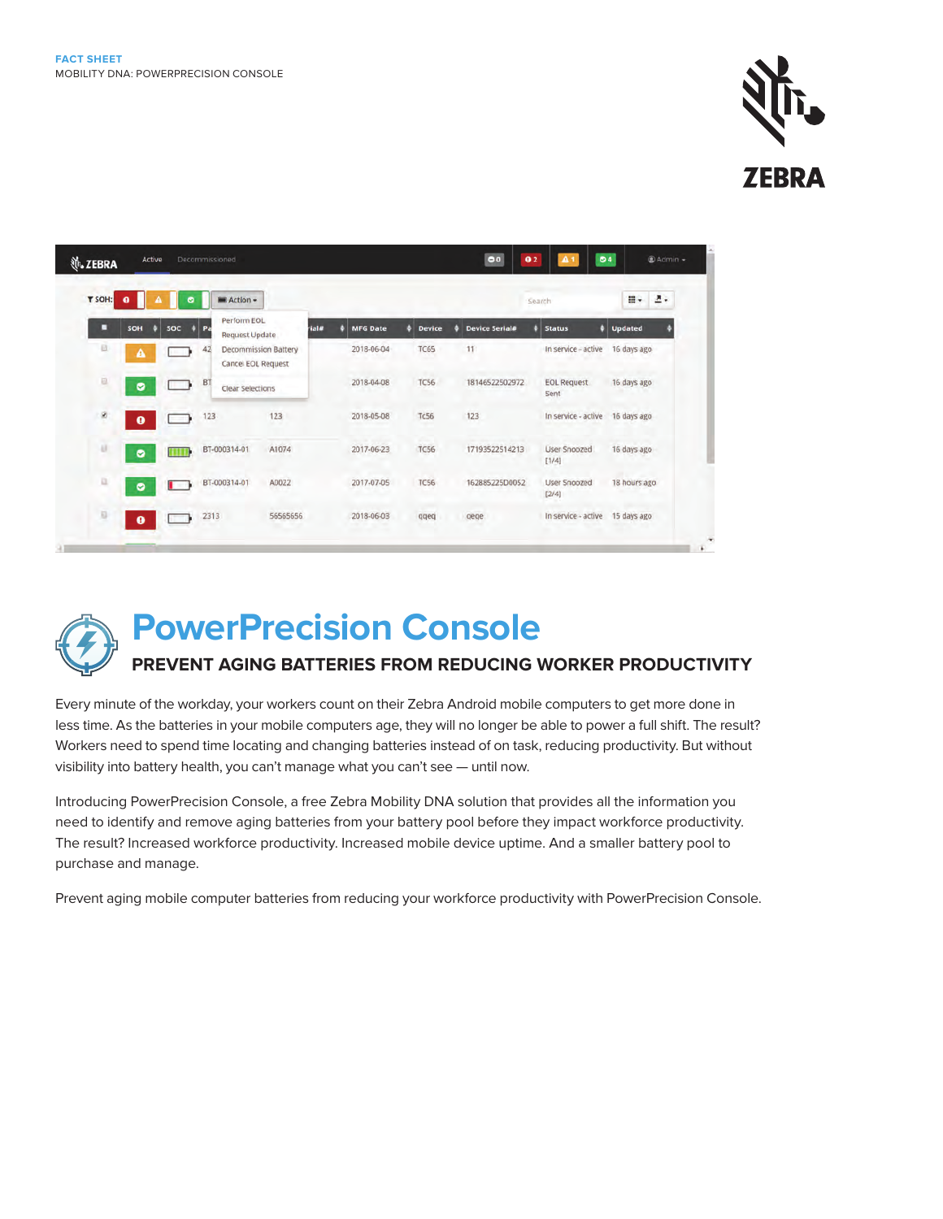

| T SOH:<br>Action +<br>0<br>۰ |           |                 |                                         |                             |       |                 |               | m-<br>2.<br>Search    |                            |                |
|------------------------------|-----------|-----------------|-----------------------------------------|-----------------------------|-------|-----------------|---------------|-----------------------|----------------------------|----------------|
| п                            | SOH       | <b>SOC</b><br>o | Perform EOL<br>$#$ Pa<br>Request Update |                             | rial# | <b>MFG Date</b> | <b>Device</b> | <b>Device Serial#</b> | ٥<br><b>Status</b>         | <b>Updated</b> |
| 巨                            | Δ         | <b>BELLET</b>   | 42<br>Cancel EOL Request                | <b>Decommission Battery</b> |       | 2018-06-04      | <b>TC65</b>   | 11                    | In service - active        | 16 days ago    |
| 昌                            | ø         |                 | BT<br>Clear Selections                  |                             |       | 2018-04-08      | <b>TC56</b>   | 18146522502972        | <b>EOL Request</b><br>Sent | 16 days ago    |
| ø                            | $\bullet$ | - 13            | 123                                     | 123<br>65                   |       | 2018-05-08      | <b>Tc56</b>   | 123                   | In service - active        | 16 days ago    |
| a                            | ø         | <b>THEFT</b>    | BT-000314-01                            | A1074                       |       | 2017-06-23      | <b>TC56</b>   | 17193522514213        | User Snoozed<br>[1/4]      | 16 days ago    |
| a                            | ۰         | ur 13           | BT-000314-01                            | A0022                       |       | 2017-07-05      | <b>TC56</b>   | 162885225D0052        | User Snoozed<br>[2/4]      | 18 hours ago   |
| Q                            | $\bullet$ |                 | 2313                                    | 56565656                    |       | 2018-06-03      | qqeq          | gege                  | In service - active        | 15 days ago    |



# **PowerPrecision Console**

# **PREVENT AGING BATTERIES FROM REDUCING WORKER PRODUCTIVITY**

Every minute of the workday, your workers count on their Zebra Android mobile computers to get more done in less time. As the batteries in your mobile computers age, they will no longer be able to power a full shift. The result? Workers need to spend time locating and changing batteries instead of on task, reducing productivity. But without visibility into battery health, you can't manage what you can't see — until now.

Introducing PowerPrecision Console, a free Zebra Mobility DNA solution that provides all the information you need to identify and remove aging batteries from your battery pool before they impact workforce productivity. The result? Increased workforce productivity. Increased mobile device uptime. And a smaller battery pool to purchase and manage.

Prevent aging mobile computer batteries from reducing your workforce productivity with PowerPrecision Console.